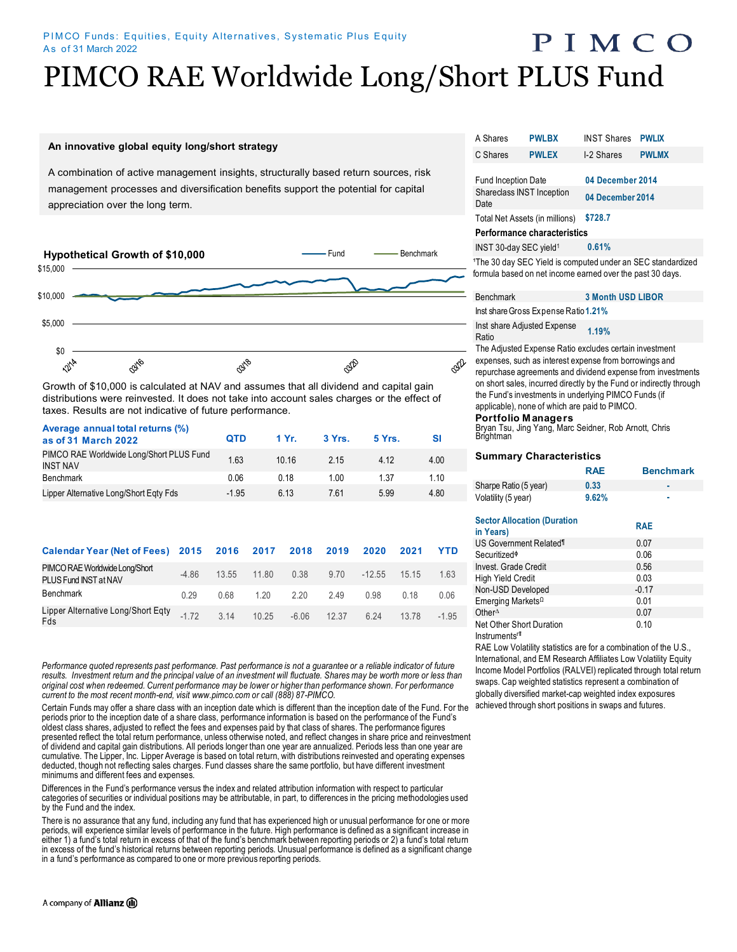## PIMCO PIMCO RAE Worldwide Long/Short PLUS Fund

#### **An innovative global equity long/short strategy**

A combination of active management insights, structurally based return sources, risk management processes and diversification benefits support the potential for capital appreciation over the long term.



Growth of \$10,000 is calculated at NAV and assumes that all dividend and capital gain distributions were reinvested. It does not take into account sales charges or the effect of taxes. Results are not indicative of future performance.

| Average annual total returns (%)<br>as of 31 March 2022     | <b>QTD</b> | 4Yr. | 3 Yrs. | 5 Yrs. | SI   |
|-------------------------------------------------------------|------------|------|--------|--------|------|
| PIMCO RAE Worldwide Long/Short PLUS Fund<br><b>INST NAV</b> | 1.63       | 1016 | 2 15   | 4.12   | 4.00 |
| <b>Benchmark</b>                                            | 0.06       | 0 18 | 1.00   | 1.37   | 1.10 |
| Lipper Alternative Long/Short Eqty Fds                      | $-1.95$    | 6 13 | 761    | 5.99   | 4.80 |

| Calendar Year (Net of Fees) 2015 2016 2017              |         |       |       | 2018    | 2019  | 2020     | 2021  | YTD     |
|---------------------------------------------------------|---------|-------|-------|---------|-------|----------|-------|---------|
| PIMCO RAE Worldwide Long/Short<br>PLUS Fund INST at NAV | $-4.86$ | 13.55 | 11.80 | 0.38    | 9.70  | $-12.55$ | 15 15 | 1.63    |
| Benchmark                                               | 0.29    | 0.68  | 1.20  | 2.20    | 249   | 0.98     | 0.18  | 0.06    |
| Lipper Alternative Long/Short Eqty<br>Fds               | $-172$  | 3 14  | 10.25 | $-6.06$ | 12.37 | 6 24     | 13.78 | $-1.95$ |

*Performance quoted represents past performance. Past performance is not a guarantee or a reliable indicator of future*  results. Investment return and the principal value of an investment will fluctuate. Shares may be worth more or less than *original cost when redeemed. Current performance may be lower or higher than performance shown. For performance current to the most recent month-end, visit www.pimco.com or call (888) 87-PIMCO.*

Certain Funds may offer a share class with an inception date which is different than the inception date of the Fund. For the periods prior to the inception date of a share class, performance information is based on the performance of the Fund's oldest class shares, adjusted to reflect the fees and expenses paid by that class of shares. The performance figures presented reflect the total return performance, unless otherwise noted, and reflect changes in share price and reinvestment of dividend and capital gain distributions. All periods longer than one year are annualized. Periods less than one year are cumulative. The Lipper, Inc. Lipper Average is based on total return, with distributions reinvested and operating expenses deducted, though not reflecting sales charges. Fund classes share the same portfolio, but have different investment minimums and different fees and expenses.

Differences in the Fund's performance versus the index and related attribution information with respect to particular categories of securities or individual positions may be attributable, in part, to differences in the pricing methodologies used by the Fund and the index.

There is no assurance that any fund, including any fund that has experienced high or unusual performance for one or more periods, will experience similar levels of performance in the future. High performance is defined as a significant increase in either 1) a fund's total return in excess of that of the fund's benchmark between reporting periods or 2) a fund's total return in excess of the fund's historical returns between reporting periods. Unusual performance is defined as a significant change in a fund's performance as compared to one or more previous reporting periods.

| A Shares                                                                                                                                                                                                                                                                                                                                                                                                                                                           | <b>PWLBX</b>                         | <b>INST Shares</b>                                                                    | <b>PWLIX</b>                                                            |
|--------------------------------------------------------------------------------------------------------------------------------------------------------------------------------------------------------------------------------------------------------------------------------------------------------------------------------------------------------------------------------------------------------------------------------------------------------------------|--------------------------------------|---------------------------------------------------------------------------------------|-------------------------------------------------------------------------|
| C. Shares                                                                                                                                                                                                                                                                                                                                                                                                                                                          | <b>PWLEX</b>                         | I-2 Shares                                                                            | <b>PWLMX</b>                                                            |
| <b>Fund Inception Date</b>                                                                                                                                                                                                                                                                                                                                                                                                                                         |                                      | 04 December 2014                                                                      |                                                                         |
| Shareclass INST Inception<br>Date                                                                                                                                                                                                                                                                                                                                                                                                                                  |                                      | 04 December 2014                                                                      |                                                                         |
| Total Net Assets (in millions)                                                                                                                                                                                                                                                                                                                                                                                                                                     |                                      | \$728.7                                                                               |                                                                         |
|                                                                                                                                                                                                                                                                                                                                                                                                                                                                    | <b>Performance characteristics</b>   |                                                                                       |                                                                         |
| INST 30-day SEC yield <sup>1</sup>                                                                                                                                                                                                                                                                                                                                                                                                                                 |                                      | 0.61%                                                                                 |                                                                         |
| <b>Benchmark</b>                                                                                                                                                                                                                                                                                                                                                                                                                                                   |                                      | formula based on net income earned over the past 30 days.<br><b>3 Month USD LIBOR</b> | <sup>1</sup> The 30 day SEC Yield is computed under an SEC standardized |
|                                                                                                                                                                                                                                                                                                                                                                                                                                                                    | Inst share Gross Expense Ratio 1.21% |                                                                                       |                                                                         |
| Ratio                                                                                                                                                                                                                                                                                                                                                                                                                                                              | Inst share Adjusted Expense          | 1.19%                                                                                 |                                                                         |
| The Adjusted Expense Ratio excludes certain investment<br>expenses, such as interest expense from borrowings and<br>repurchase agreements and dividend expense from investments<br>on short sales, incurred directly by the Fund or indirectly through<br>the Fund's investments in underlying PIMCO Funds (if<br>applicable), none of which are paid to PIMCO.<br><b>Portfolio Managers</b><br>Bryan Tsu, Jing Yang, Marc Seidner, Rob Arnott, Chris<br>Brightman |                                      |                                                                                       |                                                                         |

#### **Summary Characteristics**

|                       | <b>RAE</b> | <b>Benchmark</b> |
|-----------------------|------------|------------------|
| Sharpe Ratio (5 year) | 0.33       |                  |
| Volatility (5 year)   | 9.62%      | ٠                |

| <b>Sector Allocation (Duration)</b><br>in Years)       | <b>RAE</b> |
|--------------------------------------------------------|------------|
| US Government Related <sup>1</sup>                     | 0.07       |
| Securitized <sup>®</sup>                               | 0.06       |
| Invest, Grade Credit                                   | 0.56       |
| <b>High Yield Credit</b>                               | 0.03       |
| Non-USD Developed                                      | $-0.17$    |
| Emerging Markets <sup>0</sup>                          | 0.01       |
| Other <sup><math>\Delta</math></sup>                   | 0.07       |
| Net Other Short Duration<br>Instruments <sup>rtt</sup> | 0.10       |

RAE Low Volatility statistics are for a combination of the U.S., International, and EM Research Affiliates Low Volatility Equity Income Model Portfolios (RALVEI) replicated through total return swaps. Cap weighted statistics represent a combination of globally diversified market-cap weighted index exposures achieved through short positions in swaps and futures.